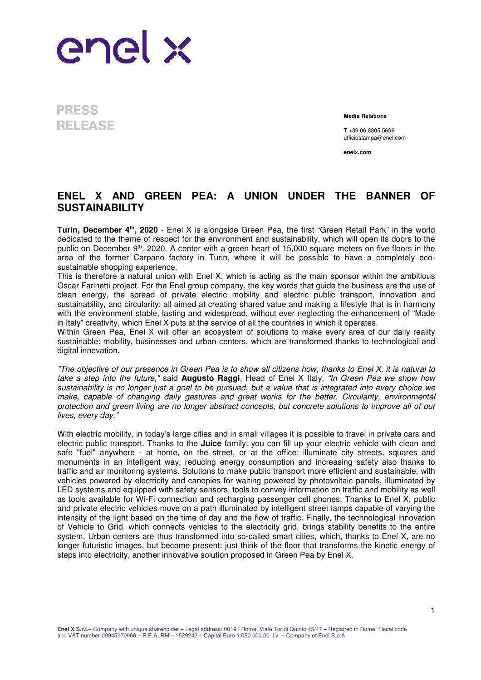## enel x

**PRESS RELEASE** 

**Media Relations**

T +39 06 8305 5699 ufficiostampa@enel.com

**enelx.com**

## **ENEL X AND GREEN PEA: A UNION UNDER THE BANNER OF SUSTAINABILITY**

**Turin, December 4th, 2020** - Enel X is alongside Green Pea, the first "Green Retail Park" in the world dedicated to the theme of respect for the environment and sustainability, which will open its doors to the public on December 9<sup>th</sup>, 2020. A center with a green heart of 15,000 square meters on five floors in the area of the former Carpano factory in Turin, where it will be possible to have a completely ecosustainable shopping experience.

This is therefore a natural union with Enel X, which is acting as the main sponsor within the ambitious Oscar Farinetti project. For the Enel group company, the key words that guide the business are the use of clean energy, the spread of private electric mobility and electric public transport, innovation and sustainability, and circularity: all aimed at creating shared value and making a lifestyle that is in harmony with the environment stable, lasting and widespread, without ever neglecting the enhancement of "Made in Italy" creativity, which Enel X puts at the service of all the countries in which it operates.

Within Green Pea, Enel X will offer an ecosystem of solutions to make every area of our daily reality sustainable: mobility, businesses and urban centers, which are transformed thanks to technological and digital innovation.

"The objective of our presence in Green Pea is to show all citizens how, thanks to Enel X, it is natural to take a step into the future," said **Augusto Raggi**, Head of Enel X Italy. "In Green Pea we show how sustainability is no longer just a goal to be pursued, but a value that is integrated into every choice we make, capable of changing daily gestures and great works for the better. Circularity, environmental protection and green living are no longer abstract concepts, but concrete solutions to improve all of our lives, every day."

With electric mobility, in today's large cities and in small villages it is possible to travel in private cars and electric public transport. Thanks to the **Juice** family: you can fill up your electric vehicle with clean and safe "fuel" anywhere - at home, on the street, or at the office; illuminate city streets, squares and monuments in an intelligent way, reducing energy consumption and increasing safety also thanks to traffic and air monitoring systems. Solutions to make public transport more efficient and sustainable, with vehicles powered by electricity and canopies for waiting powered by photovoltaic panels, illuminated by LED systems and equipped with safety sensors, tools to convey information on traffic and mobility as well as tools available for Wi-Fi connection and recharging passenger cell phones. Thanks to Enel X, public and private electric vehicles move on a path illuminated by intelligent street lamps capable of varying the intensity of the light based on the time of day and the flow of traffic. Finally, the technological innovation of Vehicle to Grid, which connects vehicles to the electricity grid, brings stability benefits to the entire system. Urban centers are thus transformed into so-called smart cities, which, thanks to Enel X, are no longer futuristic images, but become present: just think of the floor that transforms the kinetic energy of steps into electricity, another innovative solution proposed in Green Pea by Enel X.